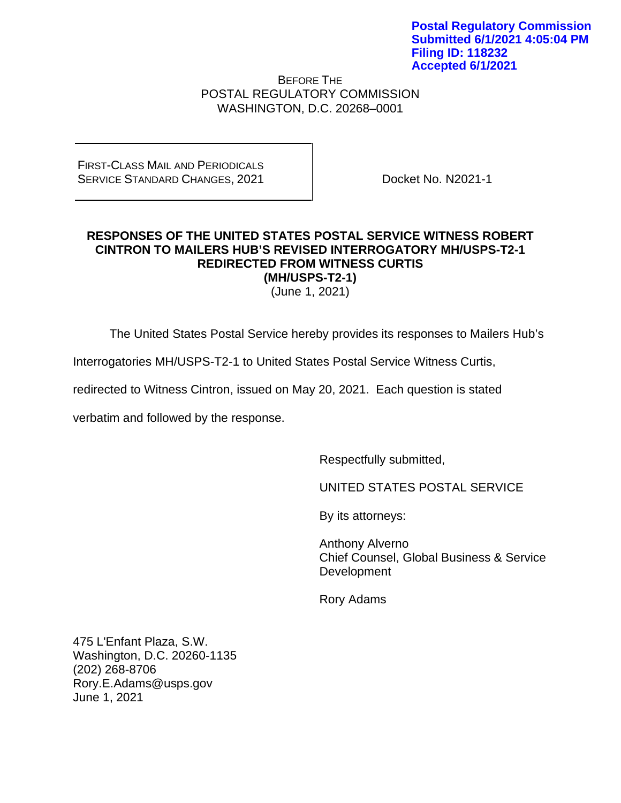BEFORE THE POSTAL REGULATORY COMMISSION WASHINGTON, D.C. 20268–0001

FIRST-CLASS MAIL AND PERIODICALS SERVICE STANDARD CHANGES, 2021

Docket No. N2021-1

## **RESPONSES OF THE UNITED STATES POSTAL SERVICE WITNESS ROBERT CINTRON TO MAILERS HUB'S REVISED INTERROGATORY MH/USPS-T2-1 REDIRECTED FROM WITNESS CURTIS (MH/USPS-T2-1)**

(June 1, 2021)

The United States Postal Service hereby provides its responses to Mailers Hub's

Interrogatories MH/USPS-T2-1 to United States Postal Service Witness Curtis,

redirected to Witness Cintron, issued on May 20, 2021. Each question is stated

verbatim and followed by the response.

Respectfully submitted,

UNITED STATES POSTAL SERVICE

By its attorneys:

Anthony Alverno Chief Counsel, Global Business & Service Development

Rory Adams

475 L'Enfant Plaza, S.W. Washington, D.C. 20260-1135 (202) 268-8706 Rory.E.Adams@usps.gov June 1, 2021